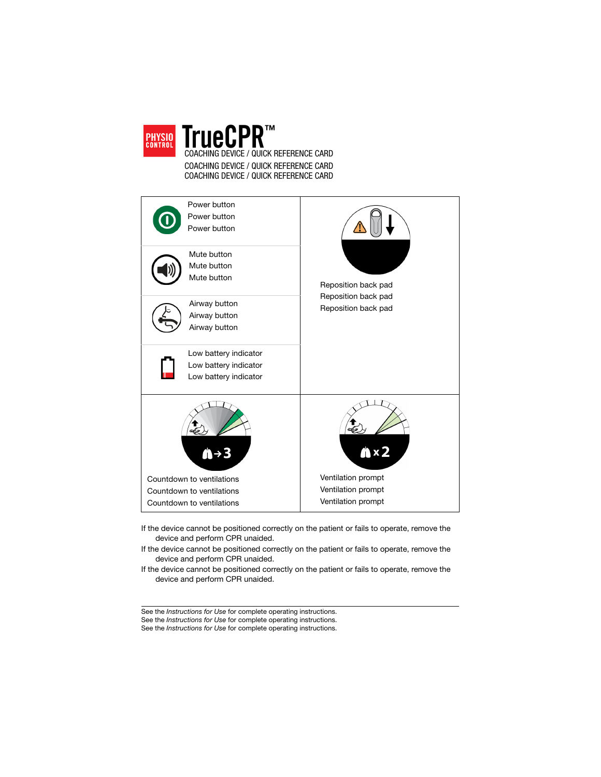

COACHING DEVICE / QUICK REFERENCE CARD COACHING DEVICE / QUICK REFERENCE CARD COACHING DEVICE / QUICK REFERENCE CARD

| Power button<br>Power button<br>Power button<br>Mute button<br>Mute button<br>Mute button                                  | Reposition back pad                                                                     |
|----------------------------------------------------------------------------------------------------------------------------|-----------------------------------------------------------------------------------------|
| Airway button<br>Airway button<br>Airway button<br>Low battery indicator<br>Low battery indicator<br>Low battery indicator | Reposition back pad<br>Reposition back pad                                              |
| Countdown to ventilations<br>Countdown to ventilations<br>Countdown to ventilations                                        | $\mathbf{A} \times 2$<br>Ventilation prompt<br>Ventilation prompt<br>Ventilation prompt |

- If the device cannot be positioned correctly on the patient or fails to operate, remove the device and perform CPR unaided.
- If the device cannot be positioned correctly on the patient or fails to operate, remove the device and perform CPR unaided.
- If the device cannot be positioned correctly on the patient or fails to operate, remove the device and perform CPR unaided.

See the Instructions for Use for complete operating instructions.

See the Instructions for Use for complete operating instructions.

See the Instructions for Use for complete operating instructions.